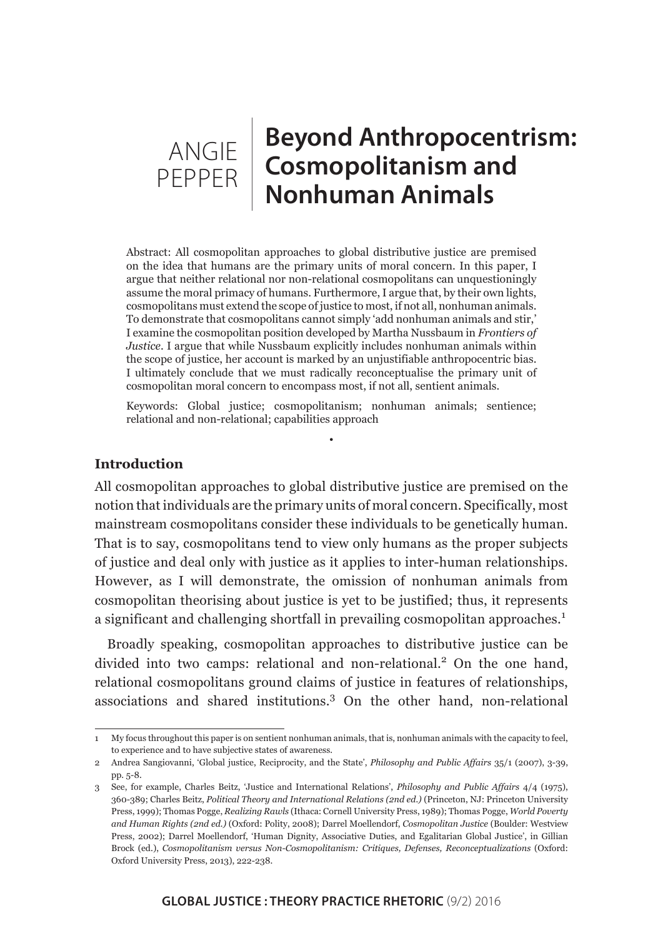# **Beyond Anthropocentrism: Cosmopolitanism and Nonhuman Animals** ANGIE PEPPER

Abstract: All cosmopolitan approaches to global distributive justice are premised on the idea that humans are the primary units of moral concern. In this paper, I argue that neither relational nor non-relational cosmopolitans can unquestioningly assume the moral primacy of humans. Furthermore, I argue that, by their own lights, cosmopolitans must extend the scope of justice to most, if not all, nonhuman animals. To demonstrate that cosmopolitans cannot simply 'add nonhuman animals and stir,' I examine the cosmopolitan position developed by Martha Nussbaum in *Frontiers of Justice*. I argue that while Nussbaum explicitly includes nonhuman animals within the scope of justice, her account is marked by an unjustifiable anthropocentric bias. I ultimately conclude that we must radically reconceptualise the primary unit of cosmopolitan moral concern to encompass most, if not all, sentient animals.

Keywords: Global justice; cosmopolitanism; nonhuman animals; sentience; relational and non-relational; capabilities approach

•

## **Introduction**

All cosmopolitan approaches to global distributive justice are premised on the notion that individuals are the primary units of moral concern. Specifically, most mainstream cosmopolitans consider these individuals to be genetically human. That is to say, cosmopolitans tend to view only humans as the proper subjects of justice and deal only with justice as it applies to inter-human relationships. However, as I will demonstrate, the omission of nonhuman animals from cosmopolitan theorising about justice is yet to be justified; thus, it represents a significant and challenging shortfall in prevailing cosmopolitan approaches.<sup>1</sup>

Broadly speaking, cosmopolitan approaches to distributive justice can be divided into two camps: relational and non-relational.<sup>2</sup> On the one hand, relational cosmopolitans ground claims of justice in features of relationships, associations and shared institutions.<sup>3</sup> On the other hand, non-relational

<sup>1</sup> My focus throughout this paper is on sentient nonhuman animals, that is, nonhuman animals with the capacity to feel, to experience and to have subjective states of awareness.

<sup>2</sup> Andrea Sangiovanni, 'Global justice, Reciprocity, and the State', *Philosophy and Public Affairs* 35/1 (2007), 3-39, pp. 5-8.

<sup>3</sup> See, for example, Charles Beitz, 'Justice and International Relations', *Philosophy and Public Affairs* 4/4 (1975), 360-389; Charles Beitz, *Political Theory and International Relations (2nd ed.)* (Princeton, NJ: Princeton University Press, 1999); Thomas Pogge, *Realizing Rawls* (Ithaca: Cornell University Press, 1989); Thomas Pogge, *World Poverty and Human Rights (2nd ed.)* (Oxford: Polity, 2008); Darrel Moellendorf, *Cosmopolitan Justice* (Boulder: Westview Press, 2002); Darrel Moellendorf, 'Human Dignity, Associative Duties, and Egalitarian Global Justice', in Gillian Brock (ed.), *Cosmopolitanism versus Non-Cosmopolitanism: Critiques, Defenses, Reconceptualizations* (Oxford: Oxford University Press, 2013), 222-238.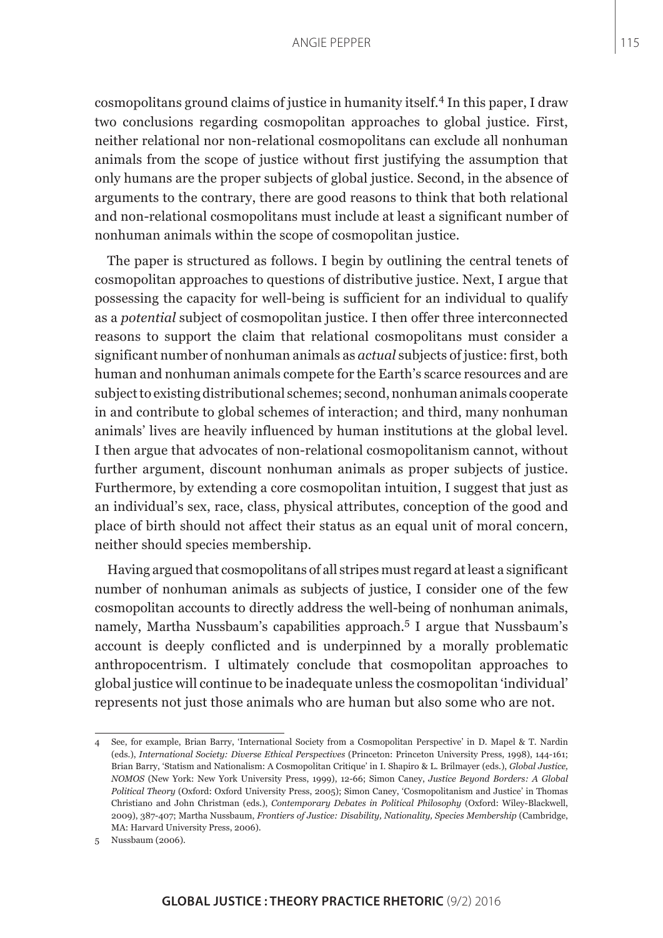cosmopolitans ground claims of justice in humanity itself.4 In this paper, I draw two conclusions regarding cosmopolitan approaches to global justice. First, neither relational nor non-relational cosmopolitans can exclude all nonhuman animals from the scope of justice without first justifying the assumption that only humans are the proper subjects of global justice. Second, in the absence of arguments to the contrary, there are good reasons to think that both relational and non-relational cosmopolitans must include at least a significant number of nonhuman animals within the scope of cosmopolitan justice.

The paper is structured as follows. I begin by outlining the central tenets of cosmopolitan approaches to questions of distributive justice. Next, I argue that possessing the capacity for well-being is sufficient for an individual to qualify as a *potential* subject of cosmopolitan justice. I then offer three interconnected reasons to support the claim that relational cosmopolitans must consider a significant number of nonhuman animals as *actual* subjects of justice: first, both human and nonhuman animals compete for the Earth's scarce resources and are subject to existing distributional schemes; second, nonhuman animals cooperate in and contribute to global schemes of interaction; and third, many nonhuman animals' lives are heavily influenced by human institutions at the global level. I then argue that advocates of non-relational cosmopolitanism cannot, without further argument, discount nonhuman animals as proper subjects of justice. Furthermore, by extending a core cosmopolitan intuition, I suggest that just as an individual's sex, race, class, physical attributes, conception of the good and place of birth should not affect their status as an equal unit of moral concern, neither should species membership.

Having argued that cosmopolitans of all stripes must regard at least a significant number of nonhuman animals as subjects of justice, I consider one of the few cosmopolitan accounts to directly address the well-being of nonhuman animals, namely, Martha Nussbaum's capabilities approach.<sup>5</sup> I argue that Nussbaum's account is deeply conflicted and is underpinned by a morally problematic anthropocentrism. I ultimately conclude that cosmopolitan approaches to global justice will continue to be inadequate unless the cosmopolitan 'individual' represents not just those animals who are human but also some who are not.

<sup>4</sup> See, for example, Brian Barry, 'International Society from a Cosmopolitan Perspective' in D. Mapel & T. Nardin (eds.), *International Society: Diverse Ethical Perspectives* (Princeton: Princeton University Press, 1998), 144-161; Brian Barry, 'Statism and Nationalism: A Cosmopolitan Critique' in I. Shapiro & L. Brilmayer (eds.), *Global Justice, NOMOS* (New York: New York University Press, 1999), 12-66; Simon Caney, *Justice Beyond Borders: A Global Political Theory* (Oxford: Oxford University Press, 2005); Simon Caney, 'Cosmopolitanism and Justice' in Thomas Christiano and John Christman (eds.), *Contemporary Debates in Political Philosophy* (Oxford: Wiley-Blackwell, 2009), 387-407; Martha Nussbaum, *Frontiers of Justice: Disability, Nationality, Species Membership* (Cambridge, MA: Harvard University Press, 2006).

<sup>5</sup> Nussbaum (2006).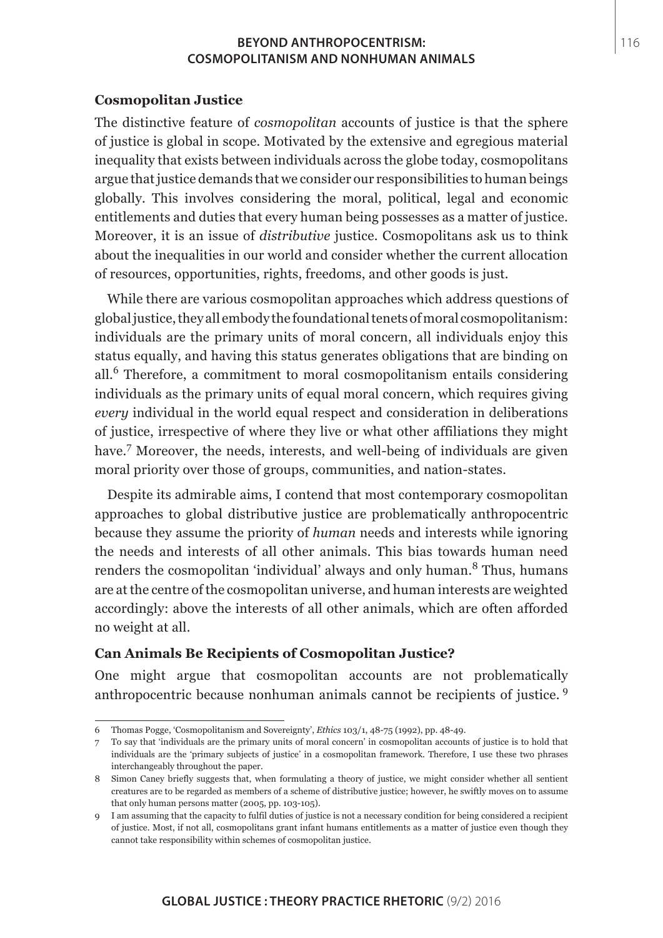### **Cosmopolitan Justice**

The distinctive feature of *cosmopolitan* accounts of justice is that the sphere of justice is global in scope. Motivated by the extensive and egregious material inequality that exists between individuals across the globe today, cosmopolitans argue that justice demands that we consider our responsibilities to human beings globally. This involves considering the moral, political, legal and economic entitlements and duties that every human being possesses as a matter of justice. Moreover, it is an issue of *distributive* justice. Cosmopolitans ask us to think about the inequalities in our world and consider whether the current allocation of resources, opportunities, rights, freedoms, and other goods is just.

While there are various cosmopolitan approaches which address questions of global justice, they all embody the foundational tenets of moral cosmopolitanism: individuals are the primary units of moral concern, all individuals enjoy this status equally, and having this status generates obligations that are binding on all.6 Therefore, a commitment to moral cosmopolitanism entails considering individuals as the primary units of equal moral concern, which requires giving *every* individual in the world equal respect and consideration in deliberations of justice, irrespective of where they live or what other affiliations they might have.<sup>7</sup> Moreover, the needs, interests, and well-being of individuals are given moral priority over those of groups, communities, and nation-states.

Despite its admirable aims, I contend that most contemporary cosmopolitan approaches to global distributive justice are problematically anthropocentric because they assume the priority of *human* needs and interests while ignoring the needs and interests of all other animals. This bias towards human need renders the cosmopolitan 'individual' always and only human.<sup>8</sup> Thus, humans are at the centre of the cosmopolitan universe, and human interests are weighted accordingly: above the interests of all other animals, which are often afforded no weight at all.

## **Can Animals Be Recipients of Cosmopolitan Justice?**

One might argue that cosmopolitan accounts are not problematically anthropocentric because nonhuman animals cannot be recipients of justice. <sup>9</sup>

<sup>6</sup> Thomas Pogge, 'Cosmopolitanism and Sovereignty', *Ethics* 103/1, 48-75 (1992), pp. 48-49.

<sup>7</sup> To say that 'individuals are the primary units of moral concern' in cosmopolitan accounts of justice is to hold that individuals are the 'primary subjects of justice' in a cosmopolitan framework. Therefore, I use these two phrases interchangeably throughout the paper.

<sup>8</sup> Simon Caney briefly suggests that, when formulating a theory of justice, we might consider whether all sentient creatures are to be regarded as members of a scheme of distributive justice; however, he swiftly moves on to assume that only human persons matter (2005, pp. 103-105).

<sup>9</sup> I am assuming that the capacity to fulfil duties of justice is not a necessary condition for being considered a recipient of justice. Most, if not all, cosmopolitans grant infant humans entitlements as a matter of justice even though they cannot take responsibility within schemes of cosmopolitan justice.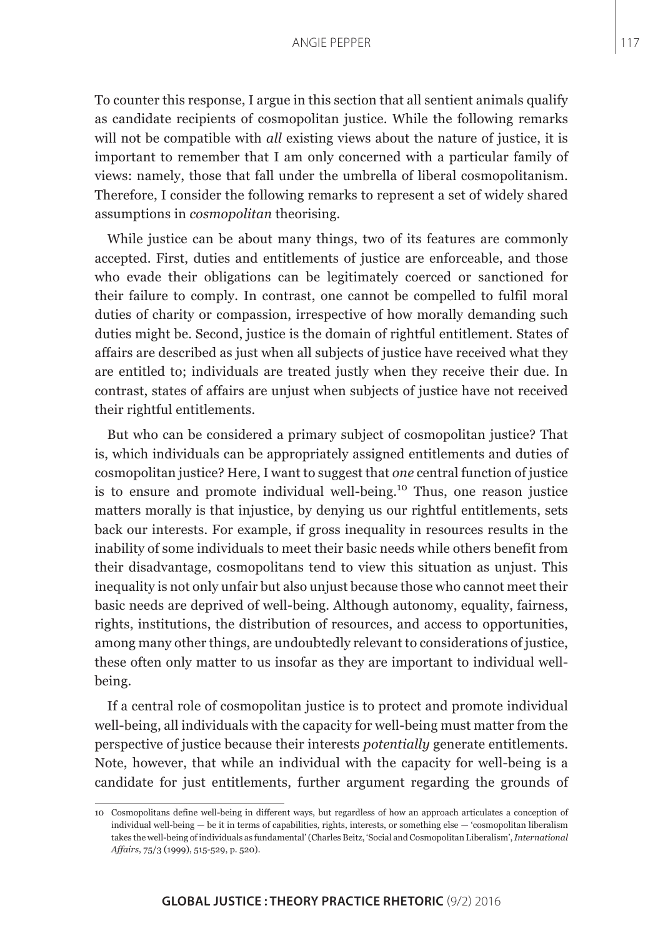To counter this response, I argue in this section that all sentient animals qualify as candidate recipients of cosmopolitan justice. While the following remarks will not be compatible with *all* existing views about the nature of justice, it is important to remember that I am only concerned with a particular family of views: namely, those that fall under the umbrella of liberal cosmopolitanism. Therefore, I consider the following remarks to represent a set of widely shared assumptions in *cosmopolitan* theorising.

While justice can be about many things, two of its features are commonly accepted. First, duties and entitlements of justice are enforceable, and those who evade their obligations can be legitimately coerced or sanctioned for their failure to comply. In contrast, one cannot be compelled to fulfil moral duties of charity or compassion, irrespective of how morally demanding such duties might be. Second, justice is the domain of rightful entitlement. States of affairs are described as just when all subjects of justice have received what they are entitled to; individuals are treated justly when they receive their due. In contrast, states of affairs are unjust when subjects of justice have not received their rightful entitlements.

But who can be considered a primary subject of cosmopolitan justice? That is, which individuals can be appropriately assigned entitlements and duties of cosmopolitan justice? Here, I want to suggest that *one* central function of justice is to ensure and promote individual well-being.<sup>10</sup> Thus, one reason justice matters morally is that injustice, by denying us our rightful entitlements, sets back our interests. For example, if gross inequality in resources results in the inability of some individuals to meet their basic needs while others benefit from their disadvantage, cosmopolitans tend to view this situation as unjust. This inequality is not only unfair but also unjust because those who cannot meet their basic needs are deprived of well-being. Although autonomy, equality, fairness, rights, institutions, the distribution of resources, and access to opportunities, among many other things, are undoubtedly relevant to considerations of justice, these often only matter to us insofar as they are important to individual wellbeing.

If a central role of cosmopolitan justice is to protect and promote individual well-being, all individuals with the capacity for well-being must matter from the perspective of justice because their interests *potentially* generate entitlements. Note, however, that while an individual with the capacity for well-being is a candidate for just entitlements, further argument regarding the grounds of

<sup>10</sup> Cosmopolitans define well-being in different ways, but regardless of how an approach articulates a conception of individual well-being — be it in terms of capabilities, rights, interests, or something else — 'cosmopolitan liberalism takes the well-being of individuals as fundamental' (Charles Beitz, 'Social and Cosmopolitan Liberalism', *International Affairs*, 75/3 (1999), 515-529, p. 520).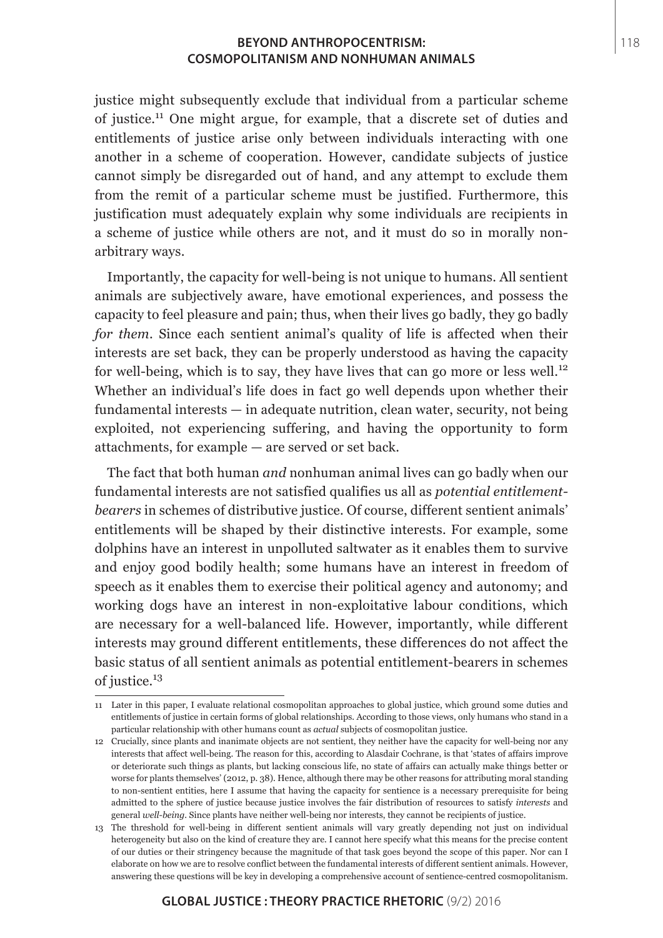justice might subsequently exclude that individual from a particular scheme of justice.11 One might argue, for example, that a discrete set of duties and entitlements of justice arise only between individuals interacting with one another in a scheme of cooperation. However, candidate subjects of justice cannot simply be disregarded out of hand, and any attempt to exclude them from the remit of a particular scheme must be justified. Furthermore, this justification must adequately explain why some individuals are recipients in a scheme of justice while others are not, and it must do so in morally nonarbitrary ways.

Importantly, the capacity for well-being is not unique to humans. All sentient animals are subjectively aware, have emotional experiences, and possess the capacity to feel pleasure and pain; thus, when their lives go badly, they go badly *for them*. Since each sentient animal's quality of life is affected when their interests are set back, they can be properly understood as having the capacity for well-being, which is to say, they have lives that can go more or less well.<sup>12</sup> Whether an individual's life does in fact go well depends upon whether their fundamental interests — in adequate nutrition, clean water, security, not being exploited, not experiencing suffering, and having the opportunity to form attachments, for example — are served or set back.

The fact that both human *and* nonhuman animal lives can go badly when our fundamental interests are not satisfied qualifies us all as *potential entitlementbearers* in schemes of distributive justice. Of course, different sentient animals' entitlements will be shaped by their distinctive interests. For example, some dolphins have an interest in unpolluted saltwater as it enables them to survive and enjoy good bodily health; some humans have an interest in freedom of speech as it enables them to exercise their political agency and autonomy; and working dogs have an interest in non-exploitative labour conditions, which are necessary for a well-balanced life. However, importantly, while different interests may ground different entitlements, these differences do not affect the basic status of all sentient animals as potential entitlement-bearers in schemes of justice.<sup>13</sup>

<sup>11</sup> Later in this paper, I evaluate relational cosmopolitan approaches to global justice, which ground some duties and entitlements of justice in certain forms of global relationships. According to those views, only humans who stand in a particular relationship with other humans count as *actual* subjects of cosmopolitan justice.

<sup>12</sup> Crucially, since plants and inanimate objects are not sentient, they neither have the capacity for well-being nor any interests that affect well-being. The reason for this, according to Alasdair Cochrane, is that 'states of affairs improve or deteriorate such things as plants, but lacking conscious life, no state of affairs can actually make things better or worse for plants themselves' (2012, p. 38). Hence, although there may be other reasons for attributing moral standing to non-sentient entities, here I assume that having the capacity for sentience is a necessary prerequisite for being admitted to the sphere of justice because justice involves the fair distribution of resources to satisfy *interests* and general *well-being*. Since plants have neither well-being nor interests, they cannot be recipients of justice.

<sup>13</sup> The threshold for well-being in different sentient animals will vary greatly depending not just on individual heterogeneity but also on the kind of creature they are. I cannot here specify what this means for the precise content of our duties or their stringency because the magnitude of that task goes beyond the scope of this paper. Nor can I elaborate on how we are to resolve conflict between the fundamental interests of different sentient animals. However, answering these questions will be key in developing a comprehensive account of sentience-centred cosmopolitanism.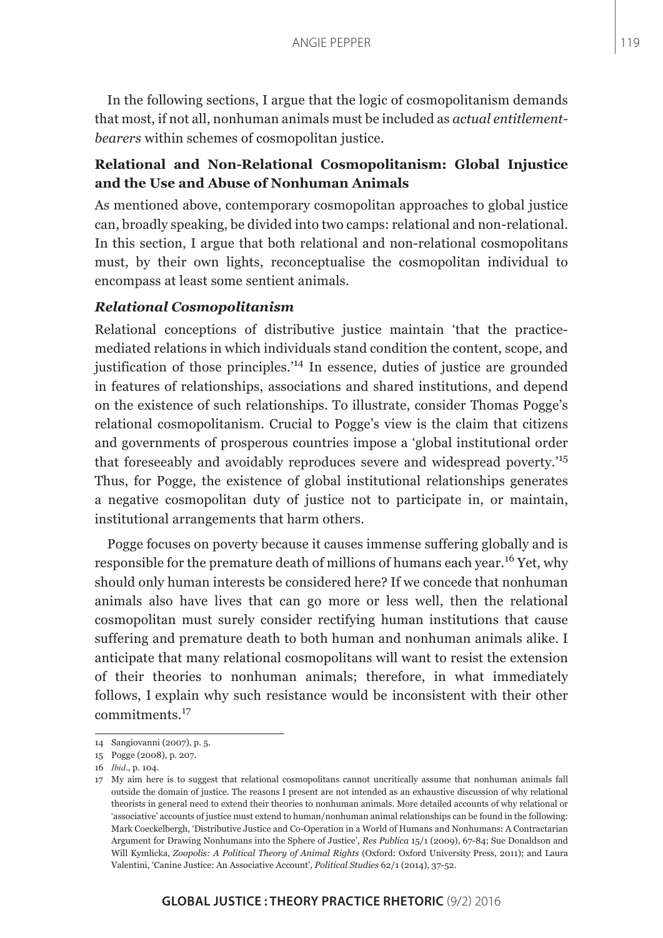In the following sections, I argue that the logic of cosmopolitanism demands that most, if not all, nonhuman animals must be included as *actual entitlementbearers* within schemes of cosmopolitan justice.

# **Relational and Non-Relational Cosmopolitanism: Global Injustice and the Use and Abuse of Nonhuman Animals**

As mentioned above, contemporary cosmopolitan approaches to global justice can, broadly speaking, be divided into two camps: relational and non-relational. In this section, I argue that both relational and non-relational cosmopolitans must, by their own lights, reconceptualise the cosmopolitan individual to encompass at least some sentient animals.

## *Relational Cosmopolitanism*

Relational conceptions of distributive justice maintain 'that the practicemediated relations in which individuals stand condition the content, scope, and justification of those principles.'14 In essence, duties of justice are grounded in features of relationships, associations and shared institutions, and depend on the existence of such relationships. To illustrate, consider Thomas Pogge's relational cosmopolitanism. Crucial to Pogge's view is the claim that citizens and governments of prosperous countries impose a 'global institutional order that foreseeably and avoidably reproduces severe and widespread poverty.'<sup>15</sup> Thus, for Pogge, the existence of global institutional relationships generates a negative cosmopolitan duty of justice not to participate in, or maintain, institutional arrangements that harm others.

Pogge focuses on poverty because it causes immense suffering globally and is responsible for the premature death of millions of humans each year.16 Yet, why should only human interests be considered here? If we concede that nonhuman animals also have lives that can go more or less well, then the relational cosmopolitan must surely consider rectifying human institutions that cause suffering and premature death to both human and nonhuman animals alike. I anticipate that many relational cosmopolitans will want to resist the extension of their theories to nonhuman animals; therefore, in what immediately follows, I explain why such resistance would be inconsistent with their other commitments.<sup>17</sup>

<sup>14</sup> Sangiovanni (2007), p. 5.

<sup>15</sup> Pogge (2008), p. 207.

<sup>16</sup> *Ibid.*, p. 104.

<sup>17</sup> My aim here is to suggest that relational cosmopolitans cannot uncritically assume that nonhuman animals fall outside the domain of justice. The reasons I present are not intended as an exhaustive discussion of why relational theorists in general need to extend their theories to nonhuman animals. More detailed accounts of why relational or 'associative' accounts of justice must extend to human/nonhuman animal relationships can be found in the following: Mark Coeckelbergh, 'Distributive Justice and Co-Operation in a World of Humans and Nonhumans: A Contractarian Argument for Drawing Nonhumans into the Sphere of Justice', *Res Publica* 15/1 (2009), 67-84; Sue Donaldson and Will Kymlicka, *Zoopolis: A Political Theory of Animal Rights* (Oxford: Oxford University Press, 2011); and Laura Valentini, 'Canine Justice: An Associative Account', *Political Studies* 62/1 (2014), 37-52.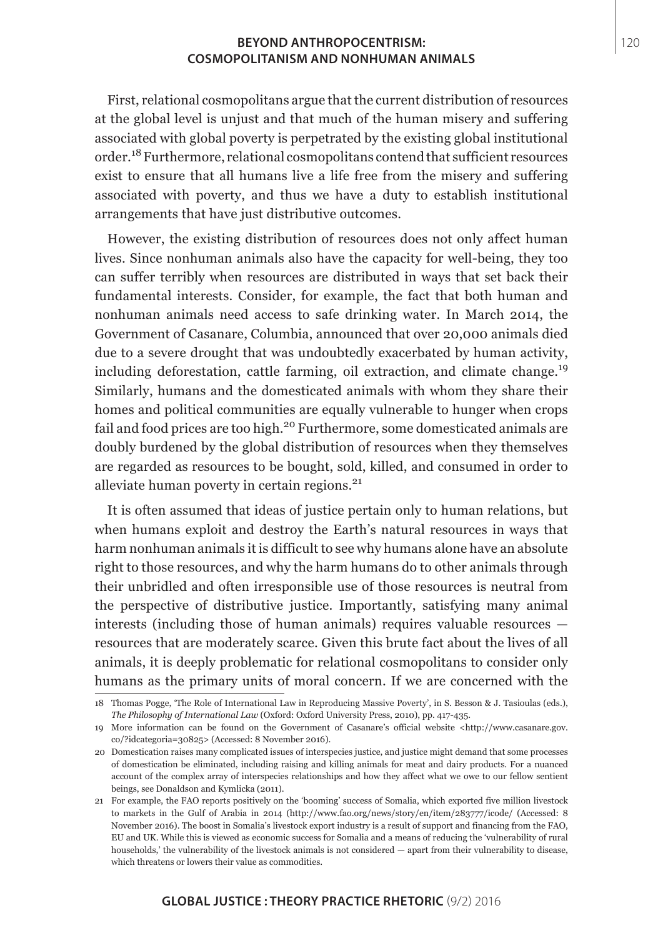First, relational cosmopolitans argue that the current distribution of resources at the global level is unjust and that much of the human misery and suffering associated with global poverty is perpetrated by the existing global institutional order.18 Furthermore, relational cosmopolitans contend that sufficient resources exist to ensure that all humans live a life free from the misery and suffering associated with poverty, and thus we have a duty to establish institutional arrangements that have just distributive outcomes.

However, the existing distribution of resources does not only affect human lives. Since nonhuman animals also have the capacity for well-being, they too can suffer terribly when resources are distributed in ways that set back their fundamental interests. Consider, for example, the fact that both human and nonhuman animals need access to safe drinking water. In March 2014, the Government of Casanare, Columbia, announced that over 20,000 animals died due to a severe drought that was undoubtedly exacerbated by human activity, including deforestation, cattle farming, oil extraction, and climate change.<sup>19</sup> Similarly, humans and the domesticated animals with whom they share their homes and political communities are equally vulnerable to hunger when crops fail and food prices are too high.<sup>20</sup> Furthermore, some domesticated animals are doubly burdened by the global distribution of resources when they themselves are regarded as resources to be bought, sold, killed, and consumed in order to alleviate human poverty in certain regions.<sup>21</sup>

It is often assumed that ideas of justice pertain only to human relations, but when humans exploit and destroy the Earth's natural resources in ways that harm nonhuman animals it is difficult to see why humans alone have an absolute right to those resources, and why the harm humans do to other animals through their unbridled and often irresponsible use of those resources is neutral from the perspective of distributive justice. Importantly, satisfying many animal interests (including those of human animals) requires valuable resources resources that are moderately scarce. Given this brute fact about the lives of all animals, it is deeply problematic for relational cosmopolitans to consider only humans as the primary units of moral concern. If we are concerned with the

<sup>18</sup> Thomas Pogge, 'The Role of International Law in Reproducing Massive Poverty', in S. Besson & J. Tasioulas (eds.), *The Philosophy of International Law* (Oxford: Oxford University Press, 2010), pp. 417-435.

<sup>19</sup> More information can be found on the Government of Casanare's official website <http://www.casanare.gov. co/?idcategoria=30825> (Accessed: 8 November 2016).

<sup>20</sup> Domestication raises many complicated issues of interspecies justice, and justice might demand that some processes of domestication be eliminated, including raising and killing animals for meat and dairy products. For a nuanced account of the complex array of interspecies relationships and how they affect what we owe to our fellow sentient beings, see Donaldson and Kymlicka (2011).

<sup>21</sup> For example, the FAO reports positively on the 'booming' success of Somalia, which exported five million livestock to markets in the Gulf of Arabia in 2014 (http://www.fao.org/news/story/en/item/283777/icode/ (Accessed: 8 November 2016). The boost in Somalia's livestock export industry is a result of support and financing from the FAO, EU and UK. While this is viewed as economic success for Somalia and a means of reducing the 'vulnerability of rural households,' the vulnerability of the livestock animals is not considered — apart from their vulnerability to disease, which threatens or lowers their value as commodities.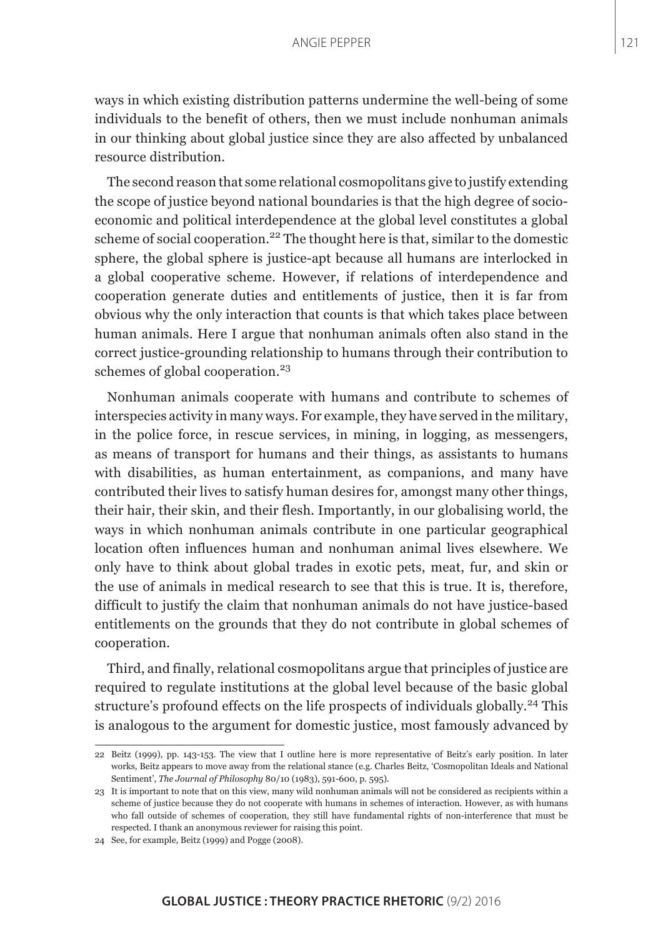ways in which existing distribution patterns undermine the well-being of some individuals to the benefit of others, then we must include nonhuman animals in our thinking about global justice since they are also affected by unbalanced resource distribution.

The second reason that some relational cosmopolitans give to justify extending the scope of justice beyond national boundaries is that the high degree of socioeconomic and political interdependence at the global level constitutes a global scheme of social cooperation.<sup>22</sup> The thought here is that, similar to the domestic sphere, the global sphere is justice-apt because all humans are interlocked in a global cooperative scheme. However, if relations of interdependence and cooperation generate duties and entitlements of justice, then it is far from obvious why the only interaction that counts is that which takes place between human animals. Here I argue that nonhuman animals often also stand in the correct justice-grounding relationship to humans through their contribution to schemes of global cooperation.<sup>23</sup>

Nonhuman animals cooperate with humans and contribute to schemes of interspecies activity in many ways. For example, they have served in the military, in the police force, in rescue services, in mining, in logging, as messengers, as means of transport for humans and their things, as assistants to humans with disabilities, as human entertainment, as companions, and many have contributed their lives to satisfy human desires for, amongst many other things, their hair, their skin, and their flesh. Importantly, in our globalising world, the ways in which nonhuman animals contribute in one particular geographical location often influences human and nonhuman animal lives elsewhere. We only have to think about global trades in exotic pets, meat, fur, and skin or the use of animals in medical research to see that this is true. It is, therefore, difficult to justify the claim that nonhuman animals do not have justice-based entitlements on the grounds that they do not contribute in global schemes of cooperation.

Third, and finally, relational cosmopolitans argue that principles of justice are required to regulate institutions at the global level because of the basic global structure's profound effects on the life prospects of individuals globally.<sup>24</sup> This is analogous to the argument for domestic justice, most famously advanced by

<sup>22</sup> Beitz (1999), pp. 143-153. The view that I outline here is more representative of Beitz's early position. In later works, Beitz appears to move away from the relational stance (e.g. Charles Beitz, 'Cosmopolitan Ideals and National Sentiment', *The Journal of Philosophy* 80/10 (1983), 591-600, p. 595).

<sup>23</sup> It is important to note that on this view, many wild nonhuman animals will not be considered as recipients within a scheme of justice because they do not cooperate with humans in schemes of interaction. However, as with humans who fall outside of schemes of cooperation, they still have fundamental rights of non-interference that must be respected. I thank an anonymous reviewer for raising this point.

<sup>24</sup> See, for example, Beitz (1999) and Pogge (2008).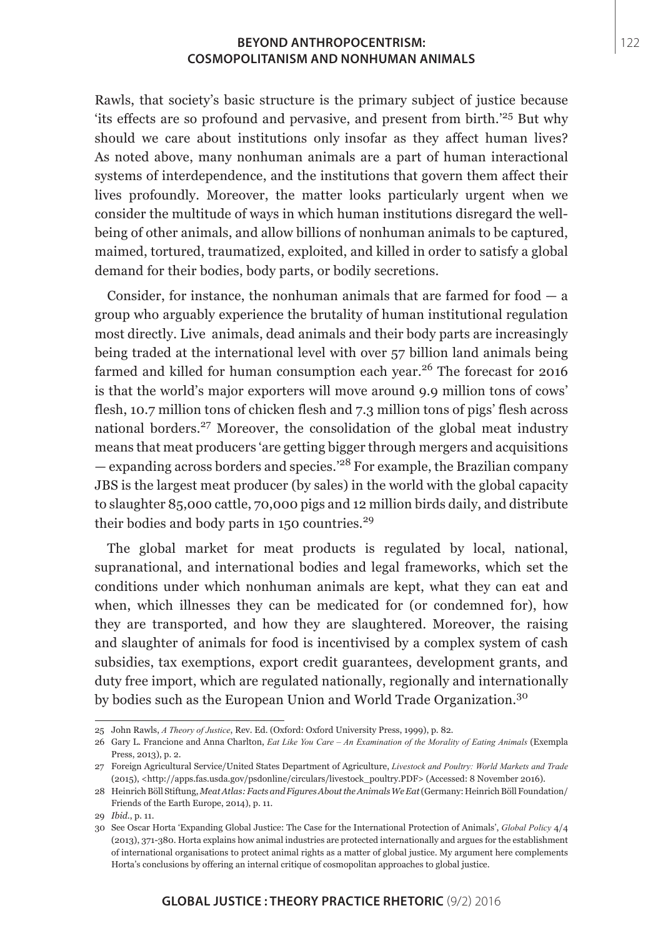Rawls, that society's basic structure is the primary subject of justice because 'its effects are so profound and pervasive, and present from birth.'25 But why should we care about institutions only insofar as they affect human lives? As noted above, many nonhuman animals are a part of human interactional systems of interdependence, and the institutions that govern them affect their lives profoundly. Moreover, the matter looks particularly urgent when we consider the multitude of ways in which human institutions disregard the wellbeing of other animals, and allow billions of nonhuman animals to be captured, maimed, tortured, traumatized, exploited, and killed in order to satisfy a global demand for their bodies, body parts, or bodily secretions.

Consider, for instance, the nonhuman animals that are farmed for food  $-$  a group who arguably experience the brutality of human institutional regulation most directly. Live animals, dead animals and their body parts are increasingly being traded at the international level with over 57 billion land animals being farmed and killed for human consumption each year.26 The forecast for 2016 is that the world's major exporters will move around 9.9 million tons of cows' flesh, 10.7 million tons of chicken flesh and 7.3 million tons of pigs' flesh across national borders.<sup>27</sup> Moreover, the consolidation of the global meat industry means that meat producers 'are getting bigger through mergers and acquisitions  $-$  expanding across borders and species.<sup>'28</sup> For example, the Brazilian company JBS is the largest meat producer (by sales) in the world with the global capacity to slaughter 85,000 cattle, 70,000 pigs and 12 million birds daily, and distribute their bodies and body parts in 150 countries.<sup>29</sup>

The global market for meat products is regulated by local, national, supranational, and international bodies and legal frameworks, which set the conditions under which nonhuman animals are kept, what they can eat and when, which illnesses they can be medicated for (or condemned for), how they are transported, and how they are slaughtered. Moreover, the raising and slaughter of animals for food is incentivised by a complex system of cash subsidies, tax exemptions, export credit guarantees, development grants, and duty free import, which are regulated nationally, regionally and internationally by bodies such as the European Union and World Trade Organization.<sup>30</sup>

<sup>25</sup> John Rawls, *A Theory of Justice*, Rev. Ed. (Oxford: Oxford University Press, 1999), p. 82.

<sup>26</sup> Gary L. Francione and Anna Charlton, *Eat Like You Care – An Examination of the Morality of Eating Animals* (Exempla Press, 2013), p. 2.

<sup>27</sup> Foreign Agricultural Service/United States Department of Agriculture, *Livestock and Poultry: World Markets and Trade*  (2015), <http://apps.fas.usda.gov/psdonline/circulars/livestock\_poultry.PDF> (Accessed: 8 November 2016).

<sup>28</sup> Heinrich Böll Stiftung, *Meat Atlas: Facts and Figures About the Animals We Eat* (Germany: Heinrich Böll Foundation/ Friends of the Earth Europe, 2014), p. 11.

<sup>29</sup> *Ibid*., p. 11.

<sup>30</sup> See Oscar Horta 'Expanding Global Justice: The Case for the International Protection of Animals', *Global Policy* 4/4 (2013), 371-380. Horta explains how animal industries are protected internationally and argues for the establishment of international organisations to protect animal rights as a matter of global justice. My argument here complements Horta's conclusions by offering an internal critique of cosmopolitan approaches to global justice.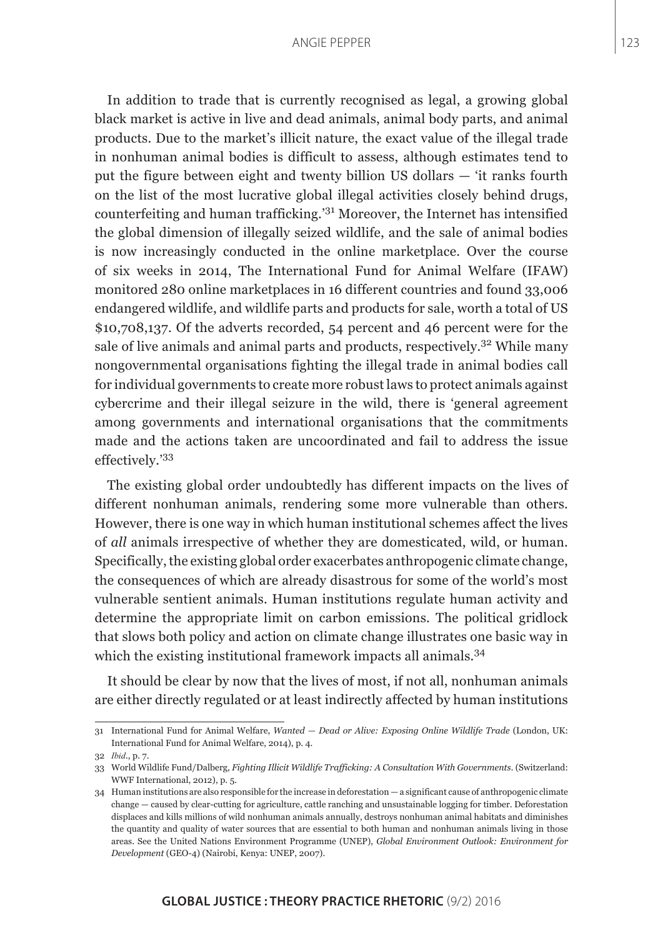In addition to trade that is currently recognised as legal, a growing global black market is active in live and dead animals, animal body parts, and animal products. Due to the market's illicit nature, the exact value of the illegal trade in nonhuman animal bodies is difficult to assess, although estimates tend to put the figure between eight and twenty billion US dollars — 'it ranks fourth on the list of the most lucrative global illegal activities closely behind drugs, counterfeiting and human trafficking.'31 Moreover, the Internet has intensified the global dimension of illegally seized wildlife, and the sale of animal bodies is now increasingly conducted in the online marketplace. Over the course of six weeks in 2014, The International Fund for Animal Welfare (IFAW) monitored 280 online marketplaces in 16 different countries and found 33,006 endangered wildlife, and wildlife parts and products for sale, worth a total of US \$10,708,137. Of the adverts recorded, 54 percent and 46 percent were for the sale of live animals and animal parts and products, respectively.<sup>32</sup> While many nongovernmental organisations fighting the illegal trade in animal bodies call for individual governments to create more robust laws to protect animals against cybercrime and their illegal seizure in the wild, there is 'general agreement among governments and international organisations that the commitments made and the actions taken are uncoordinated and fail to address the issue effectively.'<sup>33</sup>

The existing global order undoubtedly has different impacts on the lives of different nonhuman animals, rendering some more vulnerable than others. However, there is one way in which human institutional schemes affect the lives of *all* animals irrespective of whether they are domesticated, wild, or human. Specifically, the existing global order exacerbates anthropogenic climate change, the consequences of which are already disastrous for some of the world's most vulnerable sentient animals. Human institutions regulate human activity and determine the appropriate limit on carbon emissions. The political gridlock that slows both policy and action on climate change illustrates one basic way in which the existing institutional framework impacts all animals.<sup>34</sup>

It should be clear by now that the lives of most, if not all, nonhuman animals are either directly regulated or at least indirectly affected by human institutions

<sup>31</sup> International Fund for Animal Welfare, *Wanted — Dead or Alive: Exposing Online Wildlife Trade* (London, UK: International Fund for Animal Welfare, 2014), p. 4.

<sup>32</sup> *Ibid.*, p. 7.

<sup>33</sup> World Wildlife Fund/Dalberg, *Fighting Illicit Wildlife Trafficking: A Consultation With Governments.* (Switzerland: WWF International, 2012), p. 5.

<sup>34</sup> Human institutions are also responsible for the increase in deforestation — a significant cause of anthropogenic climate change — caused by clear-cutting for agriculture, cattle ranching and unsustainable logging for timber. Deforestation displaces and kills millions of wild nonhuman animals annually, destroys nonhuman animal habitats and diminishes the quantity and quality of water sources that are essential to both human and nonhuman animals living in those areas. See the United Nations Environment Programme (UNEP), *Global Environment Outlook: Environment for Development* (GEO-4) (Nairobi, Kenya: UNEP, 2007).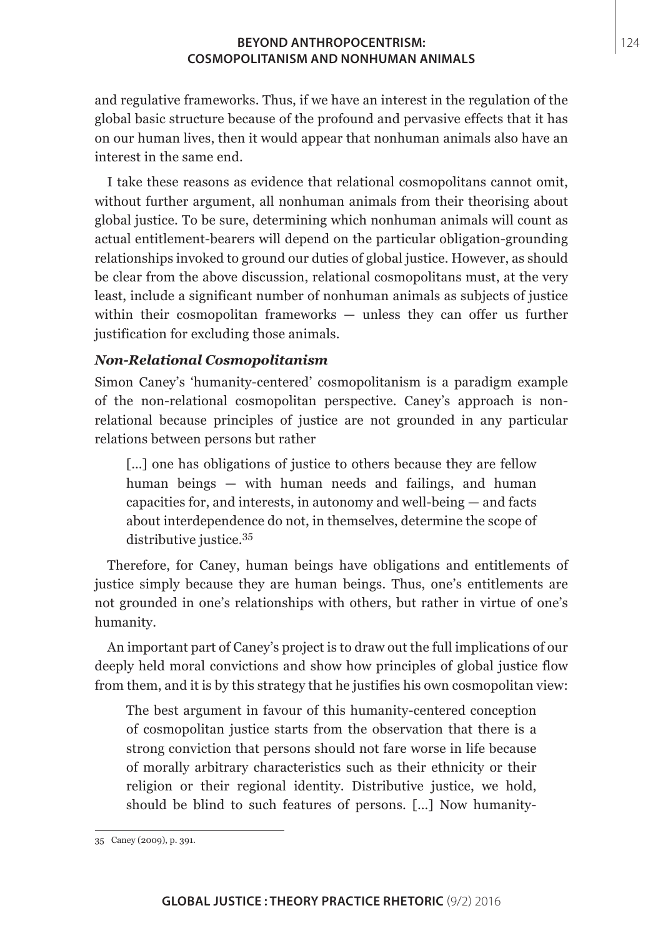and regulative frameworks. Thus, if we have an interest in the regulation of the global basic structure because of the profound and pervasive effects that it has on our human lives, then it would appear that nonhuman animals also have an interest in the same end.

I take these reasons as evidence that relational cosmopolitans cannot omit, without further argument, all nonhuman animals from their theorising about global justice. To be sure, determining which nonhuman animals will count as actual entitlement-bearers will depend on the particular obligation-grounding relationships invoked to ground our duties of global justice. However, as should be clear from the above discussion, relational cosmopolitans must, at the very least, include a significant number of nonhuman animals as subjects of justice within their cosmopolitan frameworks — unless they can offer us further justification for excluding those animals.

## *Non-Relational Cosmopolitanism*

Simon Caney's 'humanity-centered' cosmopolitanism is a paradigm example of the non-relational cosmopolitan perspective. Caney's approach is nonrelational because principles of justice are not grounded in any particular relations between persons but rather

[...] one has obligations of justice to others because they are fellow human beings — with human needs and failings, and human capacities for, and interests, in autonomy and well-being — and facts about interdependence do not, in themselves, determine the scope of distributive justice.<sup>35</sup>

Therefore, for Caney, human beings have obligations and entitlements of justice simply because they are human beings. Thus, one's entitlements are not grounded in one's relationships with others, but rather in virtue of one's humanity.

An important part of Caney's project is to draw out the full implications of our deeply held moral convictions and show how principles of global justice flow from them, and it is by this strategy that he justifies his own cosmopolitan view:

The best argument in favour of this humanity-centered conception of cosmopolitan justice starts from the observation that there is a strong conviction that persons should not fare worse in life because of morally arbitrary characteristics such as their ethnicity or their religion or their regional identity. Distributive justice, we hold, should be blind to such features of persons. […] Now humanity-

<sup>35</sup> Caney (2009), p. 391.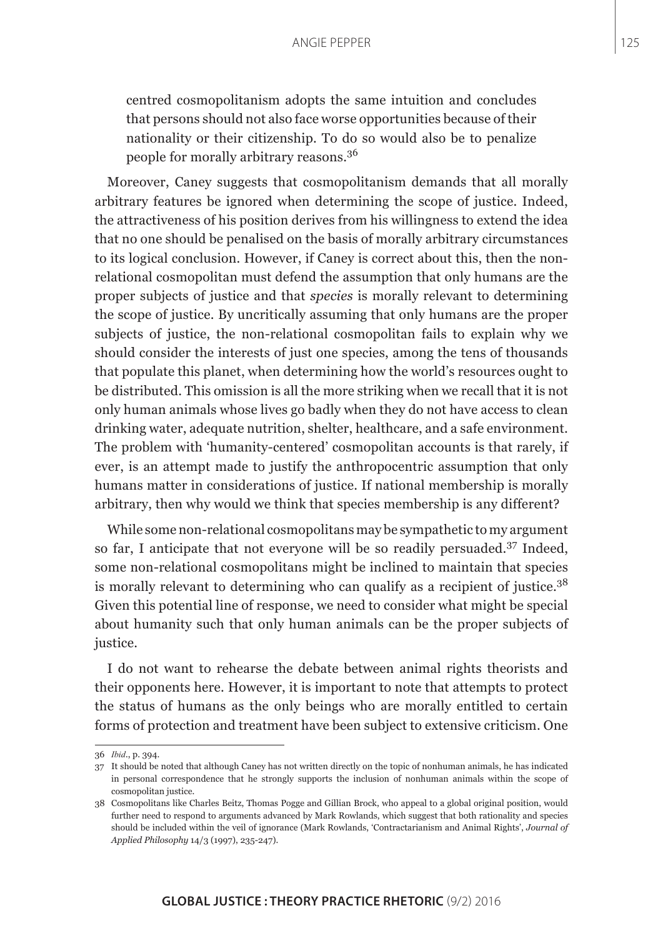centred cosmopolitanism adopts the same intuition and concludes that persons should not also face worse opportunities because of their nationality or their citizenship. To do so would also be to penalize people for morally arbitrary reasons.<sup>36</sup>

Moreover, Caney suggests that cosmopolitanism demands that all morally arbitrary features be ignored when determining the scope of justice. Indeed, the attractiveness of his position derives from his willingness to extend the idea that no one should be penalised on the basis of morally arbitrary circumstances to its logical conclusion. However, if Caney is correct about this, then the nonrelational cosmopolitan must defend the assumption that only humans are the proper subjects of justice and that *species* is morally relevant to determining the scope of justice. By uncritically assuming that only humans are the proper subjects of justice, the non-relational cosmopolitan fails to explain why we should consider the interests of just one species, among the tens of thousands that populate this planet, when determining how the world's resources ought to be distributed. This omission is all the more striking when we recall that it is not only human animals whose lives go badly when they do not have access to clean drinking water, adequate nutrition, shelter, healthcare, and a safe environment. The problem with 'humanity-centered' cosmopolitan accounts is that rarely, if ever, is an attempt made to justify the anthropocentric assumption that only humans matter in considerations of justice. If national membership is morally arbitrary, then why would we think that species membership is any different?

While some non-relational cosmopolitans may be sympathetic to my argument so far, I anticipate that not everyone will be so readily persuaded.<sup>37</sup> Indeed, some non-relational cosmopolitans might be inclined to maintain that species is morally relevant to determining who can qualify as a recipient of justice.<sup>38</sup> Given this potential line of response, we need to consider what might be special about humanity such that only human animals can be the proper subjects of justice.

I do not want to rehearse the debate between animal rights theorists and their opponents here. However, it is important to note that attempts to protect the status of humans as the only beings who are morally entitled to certain forms of protection and treatment have been subject to extensive criticism. One

<sup>36</sup> *Ibid.*, p. 394.

<sup>37</sup> It should be noted that although Caney has not written directly on the topic of nonhuman animals, he has indicated in personal correspondence that he strongly supports the inclusion of nonhuman animals within the scope of cosmopolitan justice.

<sup>38</sup> Cosmopolitans like Charles Beitz, Thomas Pogge and Gillian Brock, who appeal to a global original position, would further need to respond to arguments advanced by Mark Rowlands, which suggest that both rationality and species should be included within the veil of ignorance (Mark Rowlands, 'Contractarianism and Animal Rights', *Journal of Applied Philosophy* 14/3 (1997), 235-247).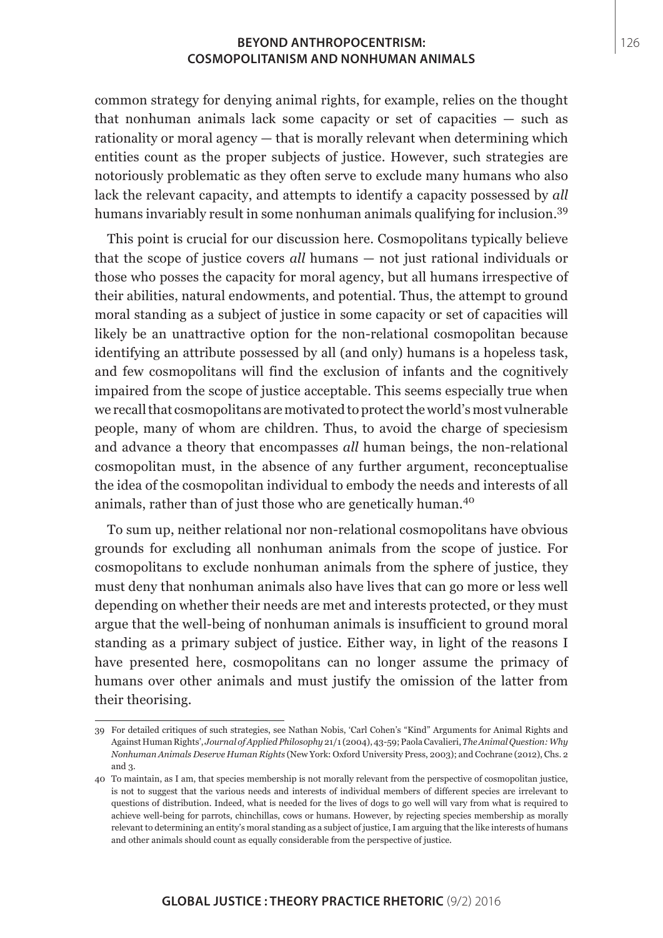common strategy for denying animal rights, for example, relies on the thought that nonhuman animals lack some capacity or set of capacities — such as rationality or moral agency — that is morally relevant when determining which entities count as the proper subjects of justice. However, such strategies are notoriously problematic as they often serve to exclude many humans who also lack the relevant capacity, and attempts to identify a capacity possessed by *all* humans invariably result in some nonhuman animals qualifying for inclusion.<sup>39</sup>

This point is crucial for our discussion here. Cosmopolitans typically believe that the scope of justice covers *all* humans — not just rational individuals or those who posses the capacity for moral agency, but all humans irrespective of their abilities, natural endowments, and potential. Thus, the attempt to ground moral standing as a subject of justice in some capacity or set of capacities will likely be an unattractive option for the non-relational cosmopolitan because identifying an attribute possessed by all (and only) humans is a hopeless task, and few cosmopolitans will find the exclusion of infants and the cognitively impaired from the scope of justice acceptable. This seems especially true when we recall that cosmopolitans are motivated to protect the world's most vulnerable people, many of whom are children. Thus, to avoid the charge of speciesism and advance a theory that encompasses *all* human beings, the non-relational cosmopolitan must, in the absence of any further argument, reconceptualise the idea of the cosmopolitan individual to embody the needs and interests of all animals, rather than of just those who are genetically human.<sup>40</sup>

To sum up, neither relational nor non-relational cosmopolitans have obvious grounds for excluding all nonhuman animals from the scope of justice. For cosmopolitans to exclude nonhuman animals from the sphere of justice, they must deny that nonhuman animals also have lives that can go more or less well depending on whether their needs are met and interests protected, or they must argue that the well-being of nonhuman animals is insufficient to ground moral standing as a primary subject of justice. Either way, in light of the reasons I have presented here, cosmopolitans can no longer assume the primacy of humans over other animals and must justify the omission of the latter from their theorising.

<sup>39</sup> For detailed critiques of such strategies, see Nathan Nobis, 'Carl Cohen's "Kind" Arguments for Animal Rights and Against Human Rights', *Journal of Applied Philosophy* 21/1 (2004), 43-59; PaolaCavalieri, *The Animal Question: Why Nonhuman Animals Deserve Human Rights* (New York: Oxford University Press, 2003); and Cochrane (2012), Chs. 2 and 3.

<sup>40</sup> To maintain, as I am, that species membership is not morally relevant from the perspective of cosmopolitan justice, is not to suggest that the various needs and interests of individual members of different species are irrelevant to questions of distribution. Indeed, what is needed for the lives of dogs to go well will vary from what is required to achieve well-being for parrots, chinchillas, cows or humans. However, by rejecting species membership as morally relevant to determining an entity's moral standing as a subject of justice, I am arguing that the like interests of humans and other animals should count as equally considerable from the perspective of justice.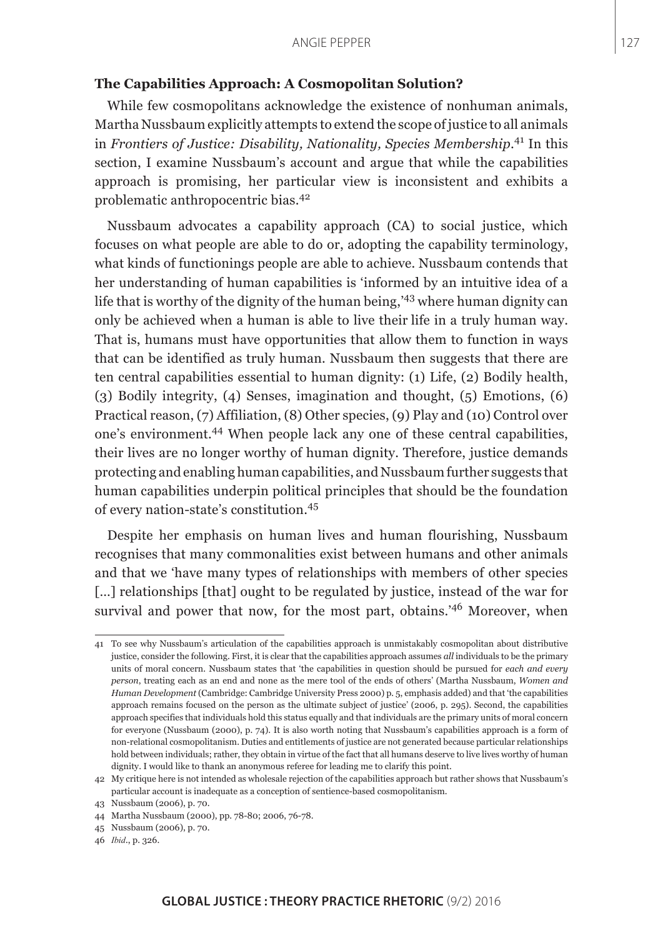### **The Capabilities Approach: A Cosmopolitan Solution?**

While few cosmopolitans acknowledge the existence of nonhuman animals, Martha Nussbaum explicitly attempts to extend the scope of justice to all animals in *Frontiers of Justice: Disability, Nationality, Species Membership*. 41 In this section, I examine Nussbaum's account and argue that while the capabilities approach is promising, her particular view is inconsistent and exhibits a problematic anthropocentric bias.<sup>42</sup>

Nussbaum advocates a capability approach (CA) to social justice, which focuses on what people are able to do or, adopting the capability terminology, what kinds of functionings people are able to achieve. Nussbaum contends that her understanding of human capabilities is 'informed by an intuitive idea of a life that is worthy of the dignity of the human being,'43 where human dignity can only be achieved when a human is able to live their life in a truly human way. That is, humans must have opportunities that allow them to function in ways that can be identified as truly human. Nussbaum then suggests that there are ten central capabilities essential to human dignity: (1) Life, (2) Bodily health, (3) Bodily integrity, (4) Senses, imagination and thought, (5) Emotions, (6) Practical reason, (7) Affiliation, (8) Other species, (9) Play and (10) Control over one's environment.44 When people lack any one of these central capabilities, their lives are no longer worthy of human dignity. Therefore, justice demands protecting and enabling human capabilities, and Nussbaum further suggests that human capabilities underpin political principles that should be the foundation of every nation-state's constitution.<sup>45</sup>

Despite her emphasis on human lives and human flourishing, Nussbaum recognises that many commonalities exist between humans and other animals and that we 'have many types of relationships with members of other species [...] relationships [that] ought to be regulated by justice, instead of the war for survival and power that now, for the most part, obtains.'46 Moreover, when

<sup>41</sup> To see why Nussbaum's articulation of the capabilities approach is unmistakably cosmopolitan about distributive justice, consider the following. First, it is clear that the capabilities approach assumes *all* individuals to be the primary units of moral concern. Nussbaum states that 'the capabilities in question should be pursued for *each and every person*, treating each as an end and none as the mere tool of the ends of others' (Martha Nussbaum, *Women and Human Development* (Cambridge: Cambridge University Press 2000) p. 5, emphasis added) and that 'the capabilities approach remains focused on the person as the ultimate subject of justice' (2006, p. 295). Second, the capabilities approach specifies that individuals hold this status equally and that individuals are the primary units of moral concern for everyone (Nussbaum (2000), p. 74). It is also worth noting that Nussbaum's capabilities approach is a form of non-relational cosmopolitanism. Duties and entitlements of justice are not generated because particular relationships hold between individuals; rather, they obtain in virtue of the fact that all humans deserve to live lives worthy of human dignity. I would like to thank an anonymous referee for leading me to clarify this point.

<sup>42</sup> My critique here is not intended as wholesale rejection of the capabilities approach but rather shows that Nussbaum's particular account is inadequate as a conception of sentience-based cosmopolitanism.

<sup>43</sup> Nussbaum (2006), p. 70.

<sup>44</sup> Martha Nussbaum (2000), pp. 78-80; 2006, 76-78.

<sup>45</sup> Nussbaum (2006), p. 70.

<sup>46</sup> *Ibid.*, p. 326.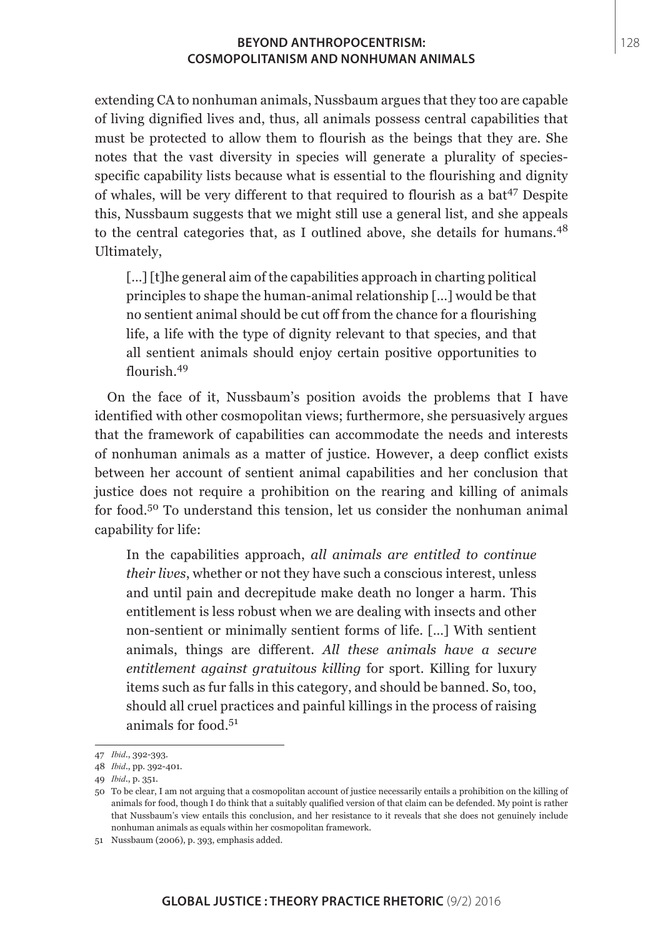extending CA to nonhuman animals, Nussbaum argues that they too are capable of living dignified lives and, thus, all animals possess central capabilities that must be protected to allow them to flourish as the beings that they are. She notes that the vast diversity in species will generate a plurality of speciesspecific capability lists because what is essential to the flourishing and dignity of whales, will be very different to that required to flourish as a bat<sup>47</sup> Despite this, Nussbaum suggests that we might still use a general list, and she appeals to the central categories that, as I outlined above, she details for humans.<sup>48</sup> Ultimately,

[...] [t]he general aim of the capabilities approach in charting political principles to shape the human-animal relationship […] would be that no sentient animal should be cut off from the chance for a flourishing life, a life with the type of dignity relevant to that species, and that all sentient animals should enjoy certain positive opportunities to flourish.<sup>49</sup>

On the face of it, Nussbaum's position avoids the problems that I have identified with other cosmopolitan views; furthermore, she persuasively argues that the framework of capabilities can accommodate the needs and interests of nonhuman animals as a matter of justice. However, a deep conflict exists between her account of sentient animal capabilities and her conclusion that justice does not require a prohibition on the rearing and killing of animals for food.50 To understand this tension, let us consider the nonhuman animal capability for life:

In the capabilities approach, *all animals are entitled to continue their lives*, whether or not they have such a conscious interest, unless and until pain and decrepitude make death no longer a harm. This entitlement is less robust when we are dealing with insects and other non-sentient or minimally sentient forms of life. […] With sentient animals, things are different. *All these animals have a secure entitlement against gratuitous killing* for sport. Killing for luxury items such as fur falls in this category, and should be banned. So, too, should all cruel practices and painful killings in the process of raising animals for food.<sup>51</sup>

<sup>47</sup> *Ibid.*, 392-393.

<sup>48</sup> *Ibid*., pp. 392-401.

<sup>49</sup> *Ibid.*, p. 351.

<sup>50</sup> To be clear, I am not arguing that a cosmopolitan account of justice necessarily entails a prohibition on the killing of animals for food, though I do think that a suitably qualified version of that claim can be defended. My point is rather that Nussbaum's view entails this conclusion, and her resistance to it reveals that she does not genuinely include nonhuman animals as equals within her cosmopolitan framework.

<sup>51</sup> Nussbaum (2006), p. 393, emphasis added.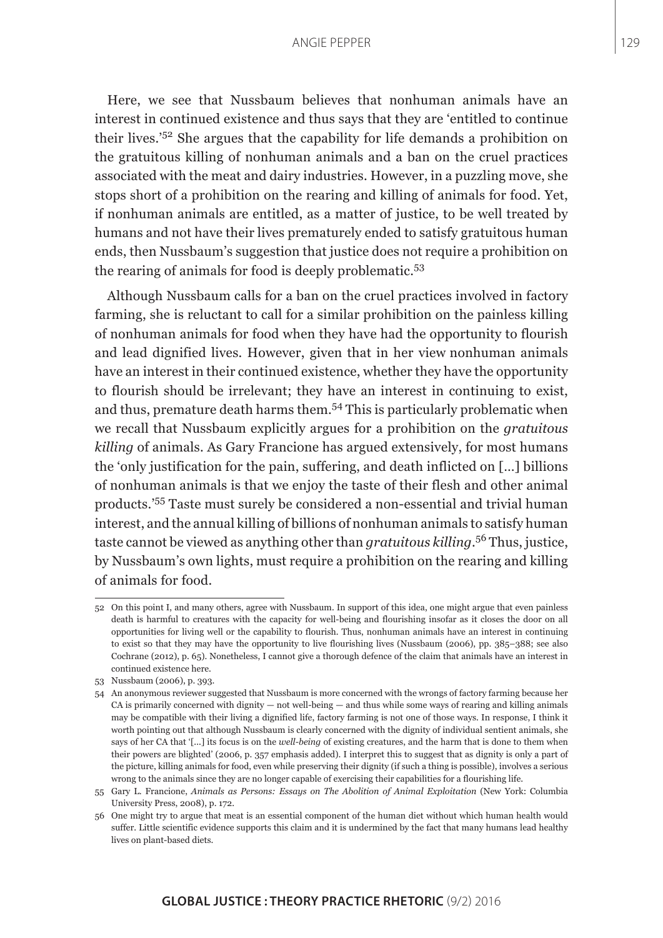Here, we see that Nussbaum believes that nonhuman animals have an interest in continued existence and thus says that they are 'entitled to continue their lives.'52 She argues that the capability for life demands a prohibition on the gratuitous killing of nonhuman animals and a ban on the cruel practices associated with the meat and dairy industries. However, in a puzzling move, she stops short of a prohibition on the rearing and killing of animals for food. Yet, if nonhuman animals are entitled, as a matter of justice, to be well treated by humans and not have their lives prematurely ended to satisfy gratuitous human ends, then Nussbaum's suggestion that justice does not require a prohibition on the rearing of animals for food is deeply problematic.<sup>53</sup>

Although Nussbaum calls for a ban on the cruel practices involved in factory farming, she is reluctant to call for a similar prohibition on the painless killing of nonhuman animals for food when they have had the opportunity to flourish and lead dignified lives. However, given that in her view nonhuman animals have an interest in their continued existence, whether they have the opportunity to flourish should be irrelevant; they have an interest in continuing to exist, and thus, premature death harms them.<sup>54</sup> This is particularly problematic when we recall that Nussbaum explicitly argues for a prohibition on the *gratuitous killing* of animals. As Gary Francione has argued extensively, for most humans the 'only justification for the pain, suffering, and death inflicted on […] billions of nonhuman animals is that we enjoy the taste of their flesh and other animal products.'55 Taste must surely be considered a non-essential and trivial human interest, and the annual killing of billions of nonhuman animals to satisfy human taste cannot be viewed as anything other than *gratuitous killing*. 56 Thus, justice, by Nussbaum's own lights, must require a prohibition on the rearing and killing of animals for food.

<sup>52</sup> On this point I, and many others, agree with Nussbaum. In support of this idea, one might argue that even painless death is harmful to creatures with the capacity for well-being and flourishing insofar as it closes the door on all opportunities for living well or the capability to flourish. Thus, nonhuman animals have an interest in continuing to exist so that they may have the opportunity to live flourishing lives (Nussbaum (2006), pp. 385–388; see also Cochrane (2012), p. 65). Nonetheless, I cannot give a thorough defence of the claim that animals have an interest in continued existence here.

<sup>53</sup> Nussbaum (2006), p. 393.

<sup>54</sup> An anonymous reviewer suggested that Nussbaum is more concerned with the wrongs of factory farming because her CA is primarily concerned with dignity  $-$  not well-being  $-$  and thus while some ways of rearing and killing animals may be compatible with their living a dignified life, factory farming is not one of those ways. In response, I think it worth pointing out that although Nussbaum is clearly concerned with the dignity of individual sentient animals, she says of her CA that '[...] its focus is on the *well-being* of existing creatures, and the harm that is done to them when their powers are blighted' (2006, p. 357 emphasis added). I interpret this to suggest that as dignity is only a part of the picture, killing animals for food, even while preserving their dignity (if such a thing is possible), involves a serious wrong to the animals since they are no longer capable of exercising their capabilities for a flourishing life.

<sup>55</sup> Gary L. Francione, *Animals as Persons: Essays on The Abolition of Animal Exploitation* (New York: Columbia University Press, 2008), p. 172.

<sup>56</sup> One might try to argue that meat is an essential component of the human diet without which human health would suffer. Little scientific evidence supports this claim and it is undermined by the fact that many humans lead healthy lives on plant-based diets.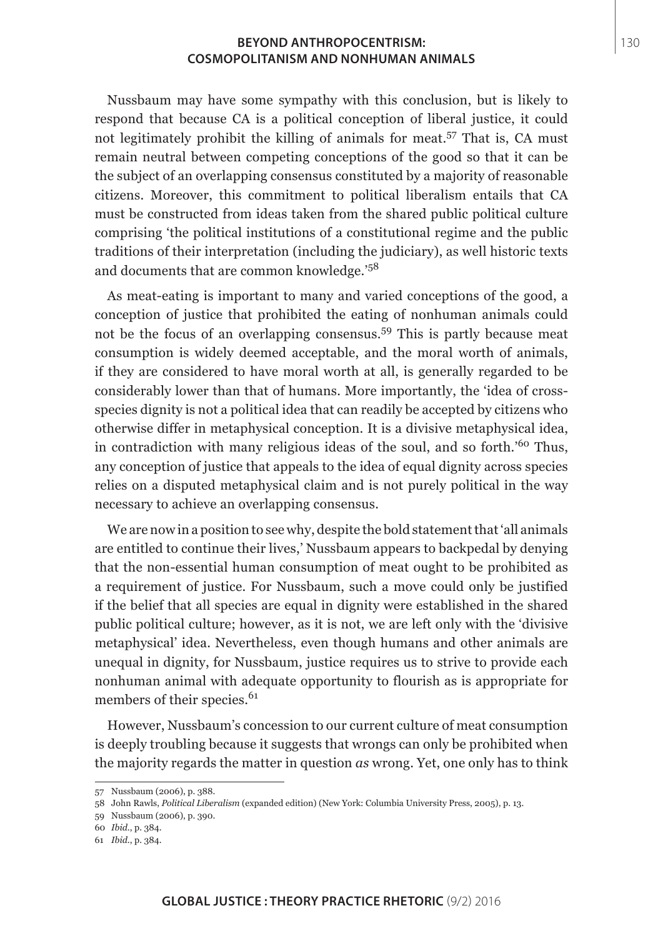Nussbaum may have some sympathy with this conclusion, but is likely to respond that because CA is a political conception of liberal justice, it could not legitimately prohibit the killing of animals for meat.<sup>57</sup> That is, CA must remain neutral between competing conceptions of the good so that it can be the subject of an overlapping consensus constituted by a majority of reasonable citizens. Moreover, this commitment to political liberalism entails that CA must be constructed from ideas taken from the shared public political culture comprising 'the political institutions of a constitutional regime and the public traditions of their interpretation (including the judiciary), as well historic texts and documents that are common knowledge.'<sup>58</sup>

As meat-eating is important to many and varied conceptions of the good, a conception of justice that prohibited the eating of nonhuman animals could not be the focus of an overlapping consensus.<sup>59</sup> This is partly because meat consumption is widely deemed acceptable, and the moral worth of animals, if they are considered to have moral worth at all, is generally regarded to be considerably lower than that of humans. More importantly, the 'idea of crossspecies dignity is not a political idea that can readily be accepted by citizens who otherwise differ in metaphysical conception. It is a divisive metaphysical idea, in contradiction with many religious ideas of the soul, and so forth.<sup>'60</sup> Thus, any conception of justice that appeals to the idea of equal dignity across species relies on a disputed metaphysical claim and is not purely political in the way necessary to achieve an overlapping consensus.

We are now in a position to see why, despite the bold statement that 'all animals are entitled to continue their lives,' Nussbaum appears to backpedal by denying that the non-essential human consumption of meat ought to be prohibited as a requirement of justice. For Nussbaum, such a move could only be justified if the belief that all species are equal in dignity were established in the shared public political culture; however, as it is not, we are left only with the 'divisive metaphysical' idea. Nevertheless, even though humans and other animals are unequal in dignity, for Nussbaum, justice requires us to strive to provide each nonhuman animal with adequate opportunity to flourish as is appropriate for members of their species.<sup>61</sup>

However, Nussbaum's concession to our current culture of meat consumption is deeply troubling because it suggests that wrongs can only be prohibited when the majority regards the matter in question *as* wrong. Yet, one only has to think

<sup>57</sup> Nussbaum (2006), p. 388.

<sup>58</sup> John Rawls, *Political Liberalism* (expanded edition) (New York: Columbia University Press, 2005), p. 13.

<sup>59</sup> Nussbaum (2006), p. 390.

<sup>60</sup> *Ibid*., p. 384.

<sup>61</sup> *Ibid*., p. 384.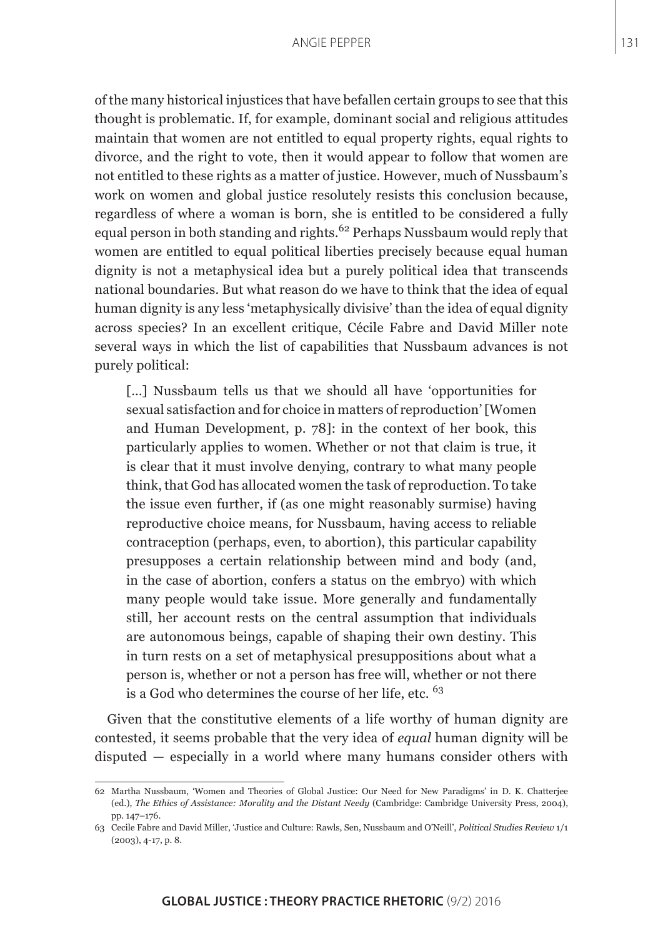of the many historical injustices that have befallen certain groups to see that this thought is problematic. If, for example, dominant social and religious attitudes maintain that women are not entitled to equal property rights, equal rights to divorce, and the right to vote, then it would appear to follow that women are not entitled to these rights as a matter of justice. However, much of Nussbaum's work on women and global justice resolutely resists this conclusion because, regardless of where a woman is born, she is entitled to be considered a fully equal person in both standing and rights.<sup>62</sup> Perhaps Nussbaum would reply that women are entitled to equal political liberties precisely because equal human dignity is not a metaphysical idea but a purely political idea that transcends national boundaries. But what reason do we have to think that the idea of equal human dignity is any less 'metaphysically divisive' than the idea of equal dignity across species? In an excellent critique, Cécile Fabre and David Miller note several ways in which the list of capabilities that Nussbaum advances is not purely political:

[...] Nussbaum tells us that we should all have 'opportunities for sexual satisfaction and for choice in matters of reproduction' [Women and Human Development, p. 78]: in the context of her book, this particularly applies to women. Whether or not that claim is true, it is clear that it must involve denying, contrary to what many people think, that God has allocated women the task of reproduction. To take the issue even further, if (as one might reasonably surmise) having reproductive choice means, for Nussbaum, having access to reliable contraception (perhaps, even, to abortion), this particular capability presupposes a certain relationship between mind and body (and, in the case of abortion, confers a status on the embryo) with which many people would take issue. More generally and fundamentally still, her account rests on the central assumption that individuals are autonomous beings, capable of shaping their own destiny. This in turn rests on a set of metaphysical presuppositions about what a person is, whether or not a person has free will, whether or not there is a God who determines the course of her life, etc. <sup>63</sup>

Given that the constitutive elements of a life worthy of human dignity are contested, it seems probable that the very idea of *equal* human dignity will be disputed — especially in a world where many humans consider others with

<sup>62</sup> Martha Nussbaum, 'Women and Theories of Global Justice: Our Need for New Paradigms' in D. K. Chatterjee (ed.), *The Ethics of Assistance: Morality and the Distant Needy* (Cambridge: Cambridge University Press, 2004), pp. 147–176.

<sup>63</sup> Cecile Fabre and David Miller, 'Justice and Culture: Rawls, Sen, Nussbaum and O'Neill', *Political Studies Review* 1/1 (2003), 4-17, p. 8.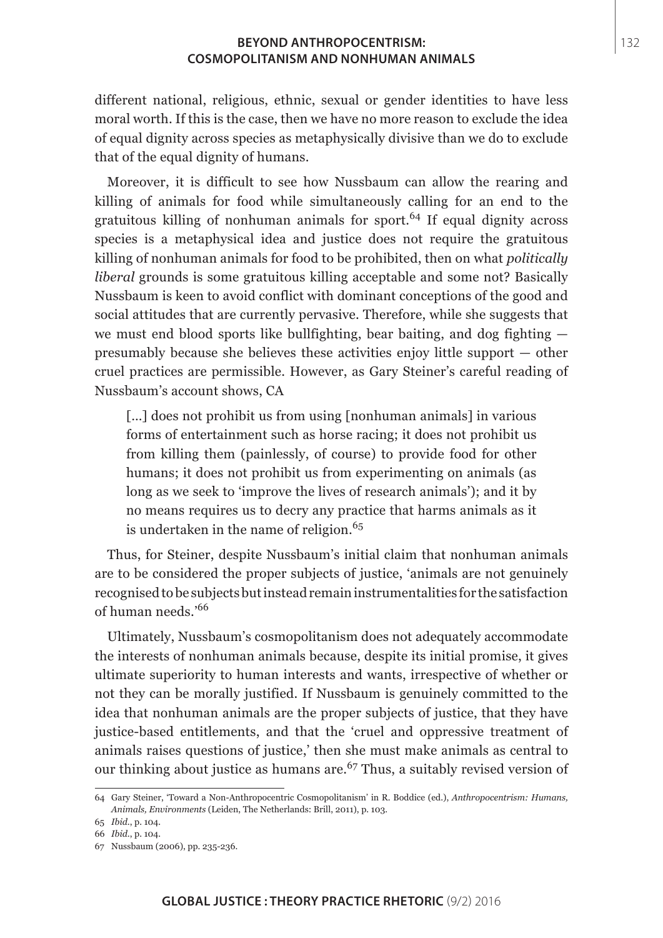different national, religious, ethnic, sexual or gender identities to have less moral worth. If this is the case, then we have no more reason to exclude the idea of equal dignity across species as metaphysically divisive than we do to exclude that of the equal dignity of humans.

Moreover, it is difficult to see how Nussbaum can allow the rearing and killing of animals for food while simultaneously calling for an end to the gratuitous killing of nonhuman animals for sport.64 If equal dignity across species is a metaphysical idea and justice does not require the gratuitous killing of nonhuman animals for food to be prohibited, then on what *politically liberal* grounds is some gratuitous killing acceptable and some not? Basically Nussbaum is keen to avoid conflict with dominant conceptions of the good and social attitudes that are currently pervasive. Therefore, while she suggests that we must end blood sports like bullfighting, bear baiting, and dog fighting presumably because she believes these activities enjoy little support — other cruel practices are permissible. However, as Gary Steiner's careful reading of Nussbaum's account shows, CA

[...] does not prohibit us from using [nonhuman animals] in various forms of entertainment such as horse racing; it does not prohibit us from killing them (painlessly, of course) to provide food for other humans; it does not prohibit us from experimenting on animals (as long as we seek to 'improve the lives of research animals'); and it by no means requires us to decry any practice that harms animals as it is undertaken in the name of religion. $65$ 

Thus, for Steiner, despite Nussbaum's initial claim that nonhuman animals are to be considered the proper subjects of justice, 'animals are not genuinely recognised to be subjects but instead remain instrumentalities for the satisfaction of human needs.'<sup>66</sup>

Ultimately, Nussbaum's cosmopolitanism does not adequately accommodate the interests of nonhuman animals because, despite its initial promise, it gives ultimate superiority to human interests and wants, irrespective of whether or not they can be morally justified. If Nussbaum is genuinely committed to the idea that nonhuman animals are the proper subjects of justice, that they have justice-based entitlements, and that the 'cruel and oppressive treatment of animals raises questions of justice,' then she must make animals as central to our thinking about justice as humans are.<sup> $67$ </sup> Thus, a suitably revised version of

<sup>64</sup> Gary Steiner, 'Toward a Non-Anthropocentric Cosmopolitanism' in R. Boddice (ed.), *Anthropocentrism: Humans, Animals, Environments* (Leiden, The Netherlands: Brill, 2011), p. 103.

<sup>65</sup> *Ibid*., p. 104.

<sup>66</sup> *Ibid*., p. 104.

<sup>67</sup> Nussbaum (2006), pp. 235-236.